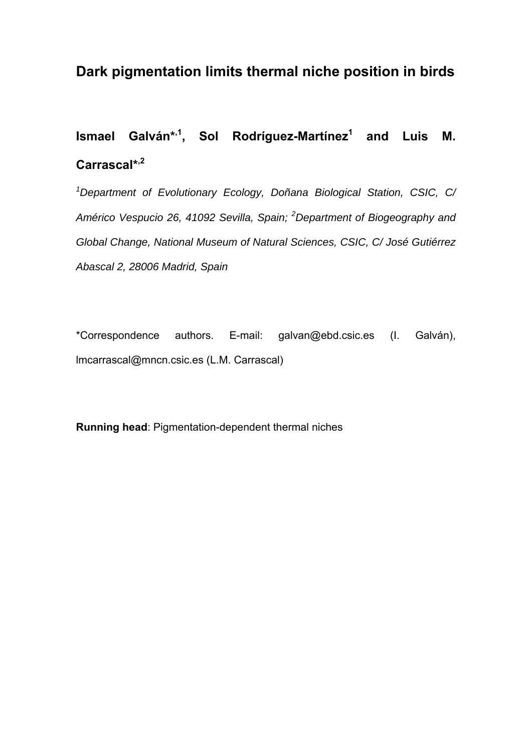## **Dark pigmentation limits thermal niche position in birds**

## **Ismael Galván\*,1, Sol Rodríguez-Martínez1 and Luis M. Carrascal\*,2**

*1 Department of Evolutionary Ecology, Doñana Biological Station, CSIC, C/ Américo Vespucio 26, 41092 Sevilla, Spain; <sup>2</sup> Department of Biogeography and Global Change, National Museum of Natural Sciences, CSIC, C/ José Gutiérrez Abascal 2, 28006 Madrid, Spain* 

\*Correspondence authors. E-mail: galvan@ebd.csic.es (I. Galván), lmcarrascal@mncn.csic.es (L.M. Carrascal)

**Running head**: Pigmentation-dependent thermal niches